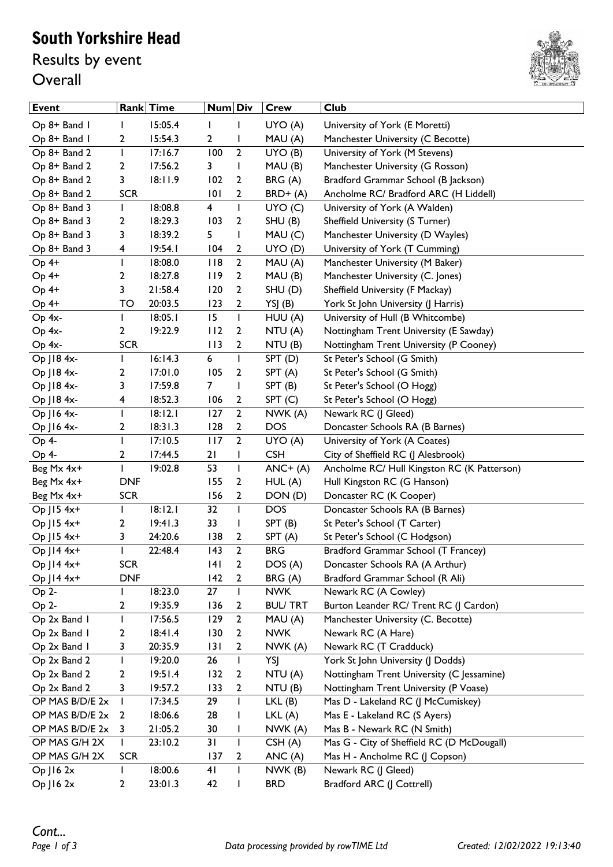## South Yorkshire Head

Results by event **Overall** 



| <b>Event</b>     |                | <b>Rank</b> Time | <b>Num Div</b>          |                | <b>Crew</b>        | <b>Club</b>                                 |
|------------------|----------------|------------------|-------------------------|----------------|--------------------|---------------------------------------------|
| Op 8+ Band 1     |                | 15:05.4          | J.                      |                | UYO (A)            | University of York (E Moretti)              |
| Op 8+ Band 1     | 2              | 15:54.3          | 2                       | L              | MAU (A)            | Manchester University (C Becotte)           |
| Op 8+ Band 2     | $\mathbf{I}$   | 17:16.7          | 100                     | $\mathbf{2}$   | UYO (B)            | University of York (M Stevens)              |
| Op 8+ Band 2     | 2              | 17:56.2          | 3                       | $\mathbf{I}$   | MAU (B)            | Manchester University (G Rosson)            |
| Op 8+ Band 2     | 3              | 18:11.9          | 102                     | $\overline{2}$ | BRG (A)            | Bradford Grammar School (B Jackson)         |
| Op 8+ Band 2     | <b>SCR</b>     |                  | 101                     | 2              | $BRD+ (A)$         | Ancholme RC/ Bradford ARC (H Liddell)       |
| $Op 8+ Band 3$   | J.             | 18:08.8          | $\overline{\mathbf{4}}$ | I              | UYO (C)            | University of York (A Walden)               |
| $Op 8+ Band 3$   | 2              | 18:29.3          | 103                     | 2              | SHU(B)             | Sheffield University (S Turner)             |
| Op 8+ Band 3     | 3              | 18:39.2          | 5                       | I              | MAU (C)            | Manchester University (D Wayles)            |
| Op 8+ Band 3     | 4              | 19:54.1          | 104                     | $\overline{2}$ | UYO(D)             | University of York (T Cumming)              |
| $Op 4+$          | J.             | 18:08.0          | $ $ $ $ $ $ 8           | $\mathbf{2}$   | MAU (A)            | Manchester University (M Baker)             |
| $Op 4+$          | 2              | 18:27.8          | 119                     | $\overline{2}$ | MAU (B)            | Manchester University (C. Jones)            |
| $Op 4+$          | 3              | 21:58.4          | 120                     | 2              | SHU(D)             | Sheffield University (F Mackay)             |
| $Op 4+$          | TO             | 20:03.5          | 123                     | 2              | YSJ(B)             | York St John University (J Harris)          |
| Op 4x-           | Ι.             | 18:05.1          | 15                      | $\mathbf{I}$   | HUU(A)             | University of Hull (B Whitcombe)            |
| Op 4x-           | $\overline{2}$ | 19:22.9          | 112                     | $\overline{2}$ | NTU(A)             | Nottingham Trent University (E Sawday)      |
| Op 4x-           | <b>SCR</b>     |                  | 113                     | 2              | NTU(B)             | Nottingham Trent University (P Cooney)      |
| Op J18 4x-       | J.             | 16:14.3          | $6\overline{6}$         | I              | SPT <sub>(D)</sub> | St Peter's School (G Smith)                 |
| Op J18 4x-       | 2              | 17:01.0          | 105                     | $\overline{2}$ | SPT (A)            | St Peter's School (G Smith)                 |
| Op J18 4x-       | 3              | 17:59.8          | $\overline{7}$          | I              | SPT(B)             | St Peter's School (O Hogg)                  |
| Op J18 4x-       | 4              | 18:52.3          | 106                     | $\overline{2}$ | SPT(C)             | St Peter's School (O Hogg)                  |
| Op J16 4x-       |                | 18:12.1          | 127                     | $\mathbf{2}$   | NWK (A)            | Newark RC (J Gleed)                         |
| $Op$ J16 4 $x$ - | 2              | 18:31.3          | 128                     | $\overline{2}$ | <b>DOS</b>         | Doncaster Schools RA (B Barnes)             |
| Op 4-            | J.             | 17:10.5          | 117                     | $\overline{2}$ | UYO (A)            | University of York (A Coates)               |
| Op 4-            | 2              | 17:44.5          | 21                      | L              | <b>CSH</b>         | City of Sheffield RC (J Alesbrook)          |
| Beg Mx 4x+       | $\mathbf{I}$   | 19:02.8          | 53                      | I              | $ANC+ (A)$         | Ancholme RC/ Hull Kingston RC (K Patterson) |
| Beg Mx 4x+       | <b>DNF</b>     |                  | 155                     | $\overline{2}$ | HUL(A)             | Hull Kingston RC (G Hanson)                 |
| Beg Mx 4x+       | <b>SCR</b>     |                  | 156                     | $\overline{2}$ | DON(D)             | Doncaster RC (K Cooper)                     |
| Op J15 4x+       | J.             | 18:12.1          | 32                      | L              | <b>DOS</b>         | Doncaster Schools RA (B Barnes)             |
| Op J15 4x+       | 2              | 19:41.3          | 33                      | I              | SPT(B)             | St Peter's School (T Carter)                |
| Op J15 4x+       | 3              | 24:20.6          | 138                     | 2              | SPT(A)             | St Peter's School (C Hodgson)               |
| Op J14 4x+       | I.             | 22:48.4          | 43                      | $\overline{2}$ | <b>BRG</b>         | Bradford Grammar School (T Francey)         |
| Op J14 4x+       | <b>SCR</b>     |                  | 4                       | $\overline{2}$ | DOS (A)            | Doncaster Schools RA (A Arthur)             |
| Op J14 4x+       | <b>DNF</b>     |                  | 142                     | 2              | BRG (A)            | Bradford Grammar School (R Ali)             |
| Op 2-            | T              | 18:23.0          | 27                      | I              | <b>NWK</b>         | Newark RC (A Cowley)                        |
| Op 2-            | 2              | 19:35.9          | 136                     | 2              | <b>BUL/TRT</b>     | Burton Leander RC/ Trent RC (J Cardon)      |
| Op 2x Band 1     | J.             | 17:56.5          | 129                     | $\mathbf{2}$   | MAU (A)            | Manchester University (C. Becotte)          |
| Op 2x Band 1     | 2              | 18:41.4          | 130                     | $\overline{2}$ | <b>NWK</b>         | Newark RC (A Hare)                          |
| Op 2x Band 1     | 3              | 20:35.9          | 3                       | 2              | NWK (A)            | Newark RC (T Cradduck)                      |
| Op 2x Band 2     | $\mathbf{I}$   | 19:20.0          | 26                      | $\mathsf I$    | YSJ                | York St John University (J Dodds)           |
| Op 2x Band 2     | 2              | 19:51.4          | 132                     | $\overline{2}$ | NTU (A)            | Nottingham Trent University (C Jessamine)   |
| Op 2x Band 2     | 3              | 19:57.2          | 133                     | 2              | NTU (B)            | Nottingham Trent University (P Voase)       |
| OP MAS B/D/E 2x  | J.             | 17:34.5          | 29                      | I              | LKL (B)            | Mas D - Lakeland RC (J McCumiskey)          |
| OP MAS B/D/E 2x  | 2              | 18:06.6          | 28                      | I              | LKL(A)             | Mas E - Lakeland RC (S Ayers)               |
| OP MAS B/D/E 2x  | 3              | 21:05.2          | 30                      | I              | NWK (A)            | Mas B - Newark RC (N Smith)                 |
| OP MAS G/H 2X    | I.             | 23:10.2          | 31                      | $\mathbf{I}$   | CSH(A)             | Mas G - City of Sheffield RC (D McDougall)  |
| OP MAS G/H 2X    | <b>SCR</b>     |                  | 137                     | 2              | ANC(A)             | Mas H - Ancholme RC (J Copson)              |
| Op J16 2x        | I.             | 18:00.6          | 41                      | I              | NWK (B)            | Newark RC (J Gleed)                         |
| $Op$ J16 2 $x$   | $\overline{2}$ | 23:01.3          | 42                      | $\mathsf{l}$   | <b>BRD</b>         | Bradford ARC (J Cottrell)                   |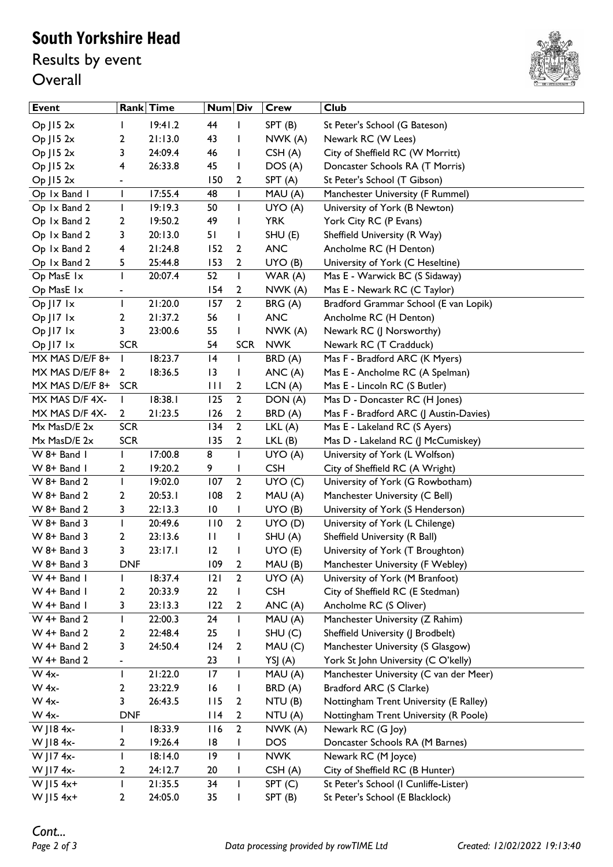## South Yorkshire Head

Results by event **Overall** 



| <b>Event</b>    |                   | <b>Rank Time</b> | Num Div         |                | <b>Crew</b> | Club                                   |
|-----------------|-------------------|------------------|-----------------|----------------|-------------|----------------------------------------|
| $Op$ J15 $2x$   |                   | 19:41.2          | 44              | $\mathbf{I}$   | SPT(B)      | St Peter's School (G Bateson)          |
| $Op$ J15 $2x$   | 2                 | 21:13.0          | 43              | L              | NWK (A)     | Newark RC (W Lees)                     |
| $Op$ J15 $2x$   | 3                 | 24:09.4          | 46              | L              | CSH(A)      | City of Sheffield RC (W Morritt)       |
| $Op$ J15 2 $x$  | 4                 | 26:33.8          | 45              | I              | DOS (A)     | Doncaster Schools RA (T Morris)        |
| $Op$ J15 $2x$   |                   |                  | 150             | 2              | SPT(A)      | St Peter's School (T Gibson)           |
| Op 1x Band 1    | J.                | 17:55.4          | 48              | L              | MAU (A)     | Manchester University (F Rummel)       |
| Op 1x Band 2    | J.                | 19:19.3          | 50              | L              | UYO (A)     | University of York (B Newton)          |
| Op 1x Band 2    | 2                 | 19:50.2          | 49              | L              | <b>YRK</b>  | York City RC (P Evans)                 |
| Op 1x Band 2    | 3                 | 20:13.0          | 51              | $\mathbf{I}$   | SHU (E)     | Sheffield University (R Way)           |
| Op 1x Band 2    | 4                 | 21:24.8          | 152             | $\overline{2}$ | <b>ANC</b>  | Ancholme RC (H Denton)                 |
| Op 1x Band 2    | 5                 | 25:44.8          | 153             | $\overline{2}$ | UYO(B)      | University of York (C Heseltine)       |
| Op MasE 1x      | $\mathbf{I}$      | 20:07.4          | 52              | L              | WAR(A)      | Mas E - Warwick BC (S Sidaway)         |
| Op MasE 1x      |                   |                  | 154             | $\overline{2}$ | NWK(A)      | Mas E - Newark RC (C Taylor)           |
| $Op$ J17 1 $x$  | $\mathbf{I}$      | 21:20.0          | 157             | $\overline{2}$ | BRG (A)     | Bradford Grammar School (E van Lopik)  |
| Op JI7 Ix       | 2                 | 21:37.2          | 56              | L              | <b>ANC</b>  | Ancholme RC (H Denton)                 |
| $Op$ J17 1 $x$  | 3                 | 23:00.6          | 55              | $\mathbf{I}$   | NWK (A)     | Newark RC (J Norsworthy)               |
| $Op$ JI7 Ix     | <b>SCR</b>        |                  | 54              | <b>SCR</b>     | <b>NWK</b>  | Newark RC (T Cradduck)                 |
| MX MAS D/E/F 8+ | $\blacksquare$    | 18:23.7          | 4               | L              | BRD (A)     | Mas F - Bradford ARC (K Myers)         |
| MX MAS D/E/F 8+ | $\overline{2}$    | 18:36.5          | 13              | I              | ANC(A)      | Mas E - Ancholme RC (A Spelman)        |
| MX MAS D/E/F 8+ | <b>SCR</b>        |                  | $\mathbf{H}$    | 2              | LCN(A)      | Mas E - Lincoln RC (S Butler)          |
| MX MAS D/F 4X-  | I.                | 18:38.1          | 125             | $\overline{2}$ | DON (A)     | Mas D - Doncaster RC (H Jones)         |
| MX MAS D/F 4X-  | $\overline{2}$    | 21:23.5          | 126             | $\overline{2}$ | BRD (A)     | Mas F - Bradford ARC (J Austin-Davies) |
| Mx MasD/E 2x    | <b>SCR</b>        |                  | 134             | $\overline{2}$ | LKL(A)      | Mas E - Lakeland RC (S Ayers)          |
| Mx MasD/E 2x    | <b>SCR</b>        |                  | 135             | $\overline{2}$ | LKL(B)      | Mas D - Lakeland RC (J McCumiskey)     |
| W 8+ Band I     | L                 | 17:00.8          | 8               | I              | UYO (A)     | University of York (L Wolfson)         |
| W 8+ Band I     | $\overline{2}$    | 19:20.2          | 9               | $\mathbf{I}$   | <b>CSH</b>  | City of Sheffield RC (A Wright)        |
| W 8+ Band 2     | $\mathbf{I}$      | 19:02.0          | 107             | $\overline{2}$ | UYO(C)      | University of York (G Rowbotham)       |
| W 8+ Band 2     | 2                 | 20:53.1          | 108             | $\overline{2}$ | MAU (A)     | Manchester University (C Bell)         |
| W 8+ Band 2     | 3                 | 22:13.3          | $\overline{10}$ | I              | UYO(B)      | University of York (S Henderson)       |
| $W$ 8+ Band 3   | T                 | 20:49.6          | 110             | $\overline{2}$ | UYO (D)     | University of York (L Chilenge)        |
| W 8+ Band 3     | 2                 | 23:13.6          | $\mathbf{H}$    | $\mathbf{I}$   | SHU (A)     | Sheffield University (R Ball)          |
| W 8+ Band 3     | 3                 | 23:17.1          | 12              | L              | UYO(E)      | University of York (T Broughton)       |
| W 8+ Band 3     | <b>DNF</b>        |                  | 109             | 2              | MAU (B)     | Manchester University (F Webley)       |
| W 4+ Band I     |                   | 18:37.4          | 2               | $\overline{2}$ | UYO (A)     | University of York (M Branfoot)        |
| W 4+ Band I     | 2                 | 20:33.9          | 22              | L              | <b>CSH</b>  | City of Sheffield RC (E Stedman)       |
| W 4+ Band I     | 3                 | 23:13.3          | 122             | 2              | ANC(A)      | Ancholme RC (S Oliver)                 |
| W 4+ Band 2     | Ι.                | 22:00.3          | 24              | L              | MAU (A)     | Manchester University (Z Rahim)        |
| W 4+ Band 2     | 2                 | 22:48.4          | 25              | I              | SHU(C)      | Sheffield University (J Brodbelt)      |
| W 4+ Band 2     | 3                 | 24:50.4          | 124             | $\overline{2}$ | MAU(C)      | Manchester University (S Glasgow)      |
| W 4+ Band 2     | -                 |                  | 23              | L              | YSJ(A)      | York St John University (C O'kelly)    |
| W 4x-           | $\mathbf{I}$      | 21:22.0          | 17              | $\mathbf{I}$   | MAU (A)     | Manchester University (C van der Meer) |
| W 4x-           | 2                 | 23:22.9          | 16              | I              | BRD (A)     | Bradford ARC (S Clarke)                |
| W 4x-           | 3                 | 26:43.5          | 115             | $\overline{2}$ | NTU (B)     | Nottingham Trent University (E Ralley) |
| W 4x-           | <b>DNF</b>        |                  | 114             | 2              | NTU (A)     | Nottingham Trent University (R Poole)  |
| W J18 $4x-$     |                   | 18:33.9          | 116             | $\mathbf{2}$   | NWK (A)     | Newark RC (G Joy)                      |
| W J18 4x-       | 2                 | 19:26.4          | 8               | I              | <b>DOS</b>  | Doncaster Schools RA (M Barnes)        |
| W J17 4x-       |                   | 18:14.0          | 9               | T              | <b>NWK</b>  | Newark RC (M Joyce)                    |
| W J17 4x-       |                   | 24:12.7          | 20              |                | CSH(A)      | City of Sheffield RC (B Hunter)        |
| $W$ JI5 4x+     | 2<br>$\mathbf{I}$ | 21:35.5          | 34              | L<br>I         | SPT(C)      | St Peter's School (I Cunliffe-Lister)  |
| W J15 $4x+$     |                   | 24:05.0          |                 |                |             | St Peter's School (E Blacklock)        |
|                 | $\mathbf{2}$      |                  | 35              | L              | SPT(B)      |                                        |